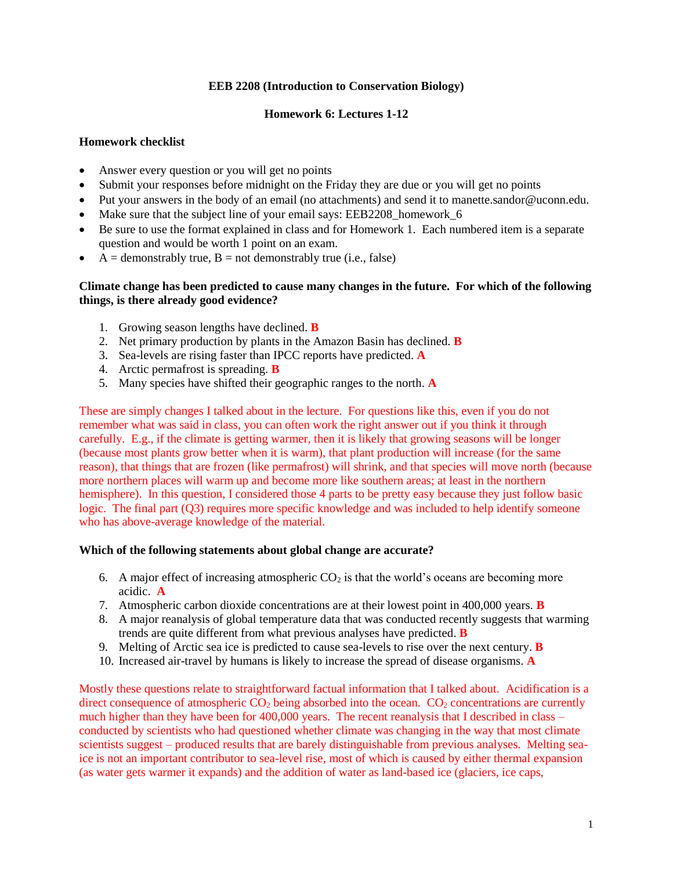# **EEB 2208 (Introduction to Conservation Biology)**

# **Homework 6: Lectures 1-12**

# **Homework checklist**

- Answer every question or you will get no points
- Submit your responses before midnight on the Friday they are due or you will get no points
- Put your answers in the body of an email (no attachments) and send it to manette.sandor@uconn.edu.
- Make sure that the subject line of your email says: EEB2208 homework 6
- Be sure to use the format explained in class and for Homework 1. Each numbered item is a separate question and would be worth 1 point on an exam.
- $A =$  demonstrably true,  $B =$  not demonstrably true (i.e., false)

# **Climate change has been predicted to cause many changes in the future. For which of the following things, is there already good evidence?**

- 1. Growing season lengths have declined. **B**
- 2. Net primary production by plants in the Amazon Basin has declined. **B**
- 3. Sea-levels are rising faster than IPCC reports have predicted. **A**
- 4. Arctic permafrost is spreading. **B**
- 5. Many species have shifted their geographic ranges to the north. **A**

These are simply changes I talked about in the lecture. For questions like this, even if you do not remember what was said in class, you can often work the right answer out if you think it through carefully. E.g., if the climate is getting warmer, then it is likely that growing seasons will be longer (because most plants grow better when it is warm), that plant production will increase (for the same reason), that things that are frozen (like permafrost) will shrink, and that species will move north (because more northern places will warm up and become more like southern areas; at least in the northern hemisphere). In this question, I considered those 4 parts to be pretty easy because they just follow basic logic. The final part (Q3) requires more specific knowledge and was included to help identify someone who has above-average knowledge of the material.

### **Which of the following statements about global change are accurate?**

- 6. A major effect of increasing atmospheric  $CO<sub>2</sub>$  is that the world's oceans are becoming more acidic. **A**
- 7. Atmospheric carbon dioxide concentrations are at their lowest point in 400,000 years. **B**
- 8. A major reanalysis of global temperature data that was conducted recently suggests that warming trends are quite different from what previous analyses have predicted. **B**
- 9. Melting of Arctic sea ice is predicted to cause sea-levels to rise over the next century. **B**
- 10. Increased air-travel by humans is likely to increase the spread of disease organisms. **A**

Mostly these questions relate to straightforward factual information that I talked about. Acidification is a direct consequence of atmospheric  $CO<sub>2</sub>$  being absorbed into the ocean.  $CO<sub>2</sub>$  concentrations are currently much higher than they have been for 400,000 years. The recent reanalysis that I described in class – conducted by scientists who had questioned whether climate was changing in the way that most climate scientists suggest – produced results that are barely distinguishable from previous analyses. Melting seaice is not an important contributor to sea-level rise, most of which is caused by either thermal expansion (as water gets warmer it expands) and the addition of water as land-based ice (glaciers, ice caps,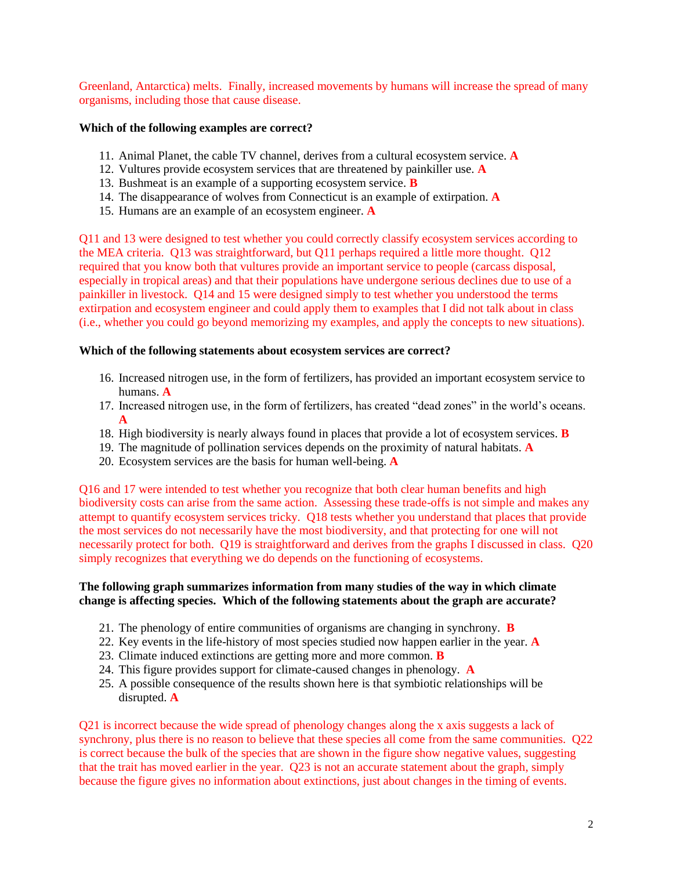Greenland, Antarctica) melts. Finally, increased movements by humans will increase the spread of many organisms, including those that cause disease.

# **Which of the following examples are correct?**

- 11. Animal Planet, the cable TV channel, derives from a cultural ecosystem service. **A**
- 12. Vultures provide ecosystem services that are threatened by painkiller use. **A**
- 13. Bushmeat is an example of a supporting ecosystem service. **B**
- 14. The disappearance of wolves from Connecticut is an example of extirpation. **A**
- 15. Humans are an example of an ecosystem engineer. **A**

Q11 and 13 were designed to test whether you could correctly classify ecosystem services according to the MEA criteria. Q13 was straightforward, but Q11 perhaps required a little more thought. Q12 required that you know both that vultures provide an important service to people (carcass disposal, especially in tropical areas) and that their populations have undergone serious declines due to use of a painkiller in livestock. Q14 and 15 were designed simply to test whether you understood the terms extirpation and ecosystem engineer and could apply them to examples that I did not talk about in class (i.e., whether you could go beyond memorizing my examples, and apply the concepts to new situations).

### **Which of the following statements about ecosystem services are correct?**

- 16. Increased nitrogen use, in the form of fertilizers, has provided an important ecosystem service to humans. **A**
- 17. Increased nitrogen use, in the form of fertilizers, has created "dead zones" in the world's oceans. **A**
- 18. High biodiversity is nearly always found in places that provide a lot of ecosystem services. **B**
- 19. The magnitude of pollination services depends on the proximity of natural habitats. **A**
- 20. Ecosystem services are the basis for human well-being. **A**

Q16 and 17 were intended to test whether you recognize that both clear human benefits and high biodiversity costs can arise from the same action. Assessing these trade-offs is not simple and makes any attempt to quantify ecosystem services tricky. Q18 tests whether you understand that places that provide the most services do not necessarily have the most biodiversity, and that protecting for one will not necessarily protect for both. Q19 is straightforward and derives from the graphs I discussed in class. Q20 simply recognizes that everything we do depends on the functioning of ecosystems.

### **The following graph summarizes information from many studies of the way in which climate change is affecting species. Which of the following statements about the graph are accurate?**

- 21. The phenology of entire communities of organisms are changing in synchrony. **B**
- 22. Key events in the life-history of most species studied now happen earlier in the year. **A**
- 23. Climate induced extinctions are getting more and more common. **B**
- 24. This figure provides support for climate-caused changes in phenology. **A**
- 25. A possible consequence of the results shown here is that symbiotic relationships will be disrupted. **A**

Q21 is incorrect because the wide spread of phenology changes along the x axis suggests a lack of synchrony, plus there is no reason to believe that these species all come from the same communities. Q22 is correct because the bulk of the species that are shown in the figure show negative values, suggesting that the trait has moved earlier in the year. Q23 is not an accurate statement about the graph, simply because the figure gives no information about extinctions, just about changes in the timing of events.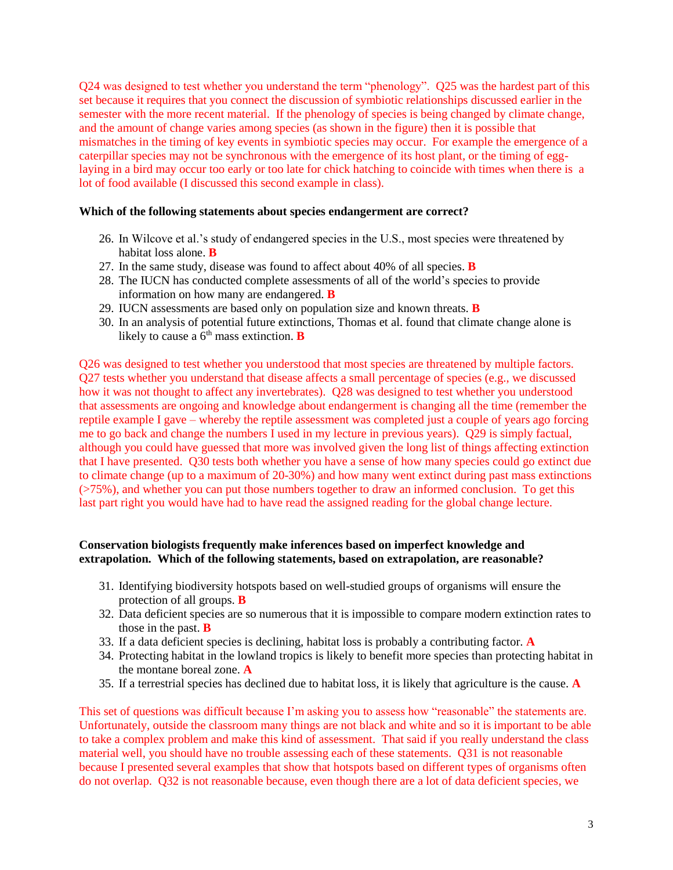Q24 was designed to test whether you understand the term "phenology". Q25 was the hardest part of this set because it requires that you connect the discussion of symbiotic relationships discussed earlier in the semester with the more recent material. If the phenology of species is being changed by climate change, and the amount of change varies among species (as shown in the figure) then it is possible that mismatches in the timing of key events in symbiotic species may occur. For example the emergence of a caterpillar species may not be synchronous with the emergence of its host plant, or the timing of egglaying in a bird may occur too early or too late for chick hatching to coincide with times when there is a lot of food available (I discussed this second example in class).

#### **Which of the following statements about species endangerment are correct?**

- 26. In Wilcove et al.'s study of endangered species in the U.S., most species were threatened by habitat loss alone. **B**
- 27. In the same study, disease was found to affect about 40% of all species. **B**
- 28. The IUCN has conducted complete assessments of all of the world's species to provide information on how many are endangered. **B**
- 29. IUCN assessments are based only on population size and known threats. **B**
- 30. In an analysis of potential future extinctions, Thomas et al. found that climate change alone is likely to cause a  $6<sup>th</sup>$  mass extinction. **B**

Q26 was designed to test whether you understood that most species are threatened by multiple factors. Q27 tests whether you understand that disease affects a small percentage of species (e.g., we discussed how it was not thought to affect any invertebrates). Q28 was designed to test whether you understood that assessments are ongoing and knowledge about endangerment is changing all the time (remember the reptile example I gave – whereby the reptile assessment was completed just a couple of years ago forcing me to go back and change the numbers I used in my lecture in previous years). Q29 is simply factual, although you could have guessed that more was involved given the long list of things affecting extinction that I have presented. Q30 tests both whether you have a sense of how many species could go extinct due to climate change (up to a maximum of 20-30%) and how many went extinct during past mass extinctions (>75%), and whether you can put those numbers together to draw an informed conclusion. To get this last part right you would have had to have read the assigned reading for the global change lecture.

### **Conservation biologists frequently make inferences based on imperfect knowledge and extrapolation. Which of the following statements, based on extrapolation, are reasonable?**

- 31. Identifying biodiversity hotspots based on well-studied groups of organisms will ensure the protection of all groups. **B**
- 32. Data deficient species are so numerous that it is impossible to compare modern extinction rates to those in the past. **B**
- 33. If a data deficient species is declining, habitat loss is probably a contributing factor. **A**
- 34. Protecting habitat in the lowland tropics is likely to benefit more species than protecting habitat in the montane boreal zone. **A**
- 35. If a terrestrial species has declined due to habitat loss, it is likely that agriculture is the cause. **A**

This set of questions was difficult because I'm asking you to assess how "reasonable" the statements are. Unfortunately, outside the classroom many things are not black and white and so it is important to be able to take a complex problem and make this kind of assessment. That said if you really understand the class material well, you should have no trouble assessing each of these statements. Q31 is not reasonable because I presented several examples that show that hotspots based on different types of organisms often do not overlap. Q32 is not reasonable because, even though there are a lot of data deficient species, we